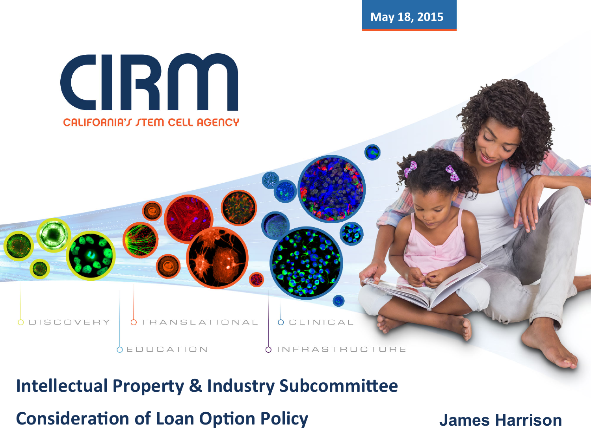**May 18, 2015** 



**DISCOVERY** 

**Intellectual Property & Industry Subcommittee Consideration of Loan Option Policy** 

ANSLATIONAL

**CEDUCATION** 

**OCLINICAL** 

**INFRASTRUCTURE** 

**James Harrison**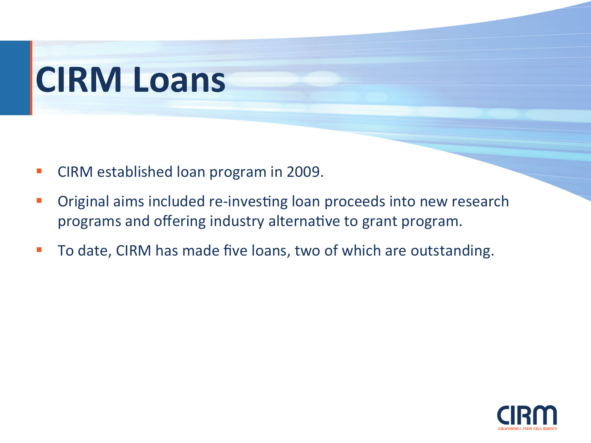## **CIRM Loans**

- CIRM established loan program in 2009.
- Original aims included re-investing loan proceeds into new research programs and offering industry alternative to grant program.
- To date, CIRM has made five loans, two of which are outstanding.

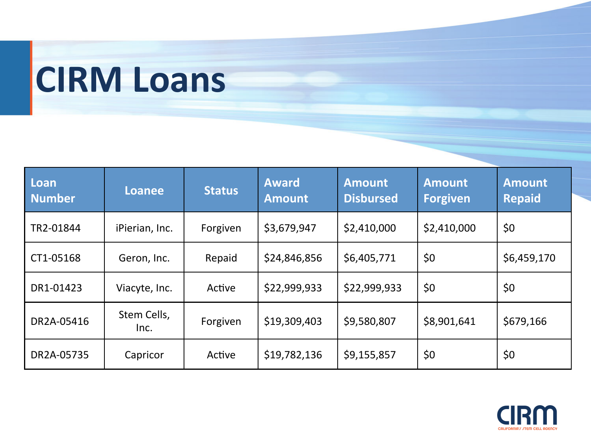## **CIRM Loans**

| Loan<br><b>Number</b> | <b>Loanee</b>       | <b>Status</b> | <b>Award</b><br><b>Amount</b> | <b>Amount</b><br><b>Disbursed</b> | <b>Amount</b><br><b>Forgiven</b> | <b>Amount</b><br><b>Repaid</b> |
|-----------------------|---------------------|---------------|-------------------------------|-----------------------------------|----------------------------------|--------------------------------|
| TR2-01844             | iPierian, Inc.      | Forgiven      | \$3,679,947                   | \$2,410,000                       | \$2,410,000                      | \$0                            |
| CT1-05168             | Geron, Inc.         | Repaid        | \$24,846,856                  | \$6,405,771                       | \$0                              | \$6,459,170                    |
| DR1-01423             | Viacyte, Inc.       | Active        | \$22,999,933                  | \$22,999,933                      | \$0                              | \$0                            |
| DR2A-05416            | Stem Cells,<br>Inc. | Forgiven      | \$19,309,403                  | \$9,580,807                       | \$8,901,641                      | \$679,166                      |
| DR2A-05735            | Capricor            | Active        | \$19,782,136                  | \$9,155,857                       | \$0                              | \$0                            |

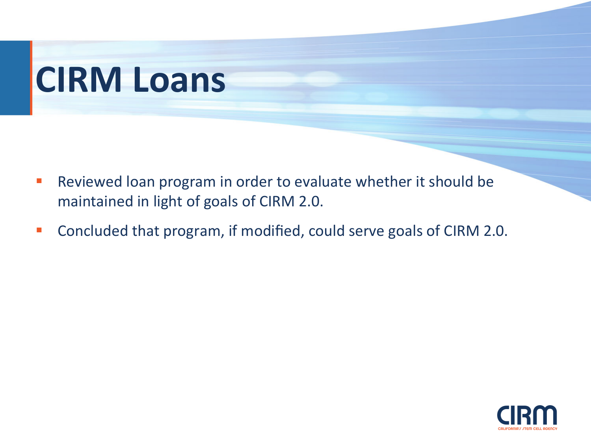## **CIRM Loans**

- **•** Reviewed loan program in order to evaluate whether it should be maintained in light of goals of CIRM 2.0.
- Concluded that program, if modified, could serve goals of CIRM 2.0.

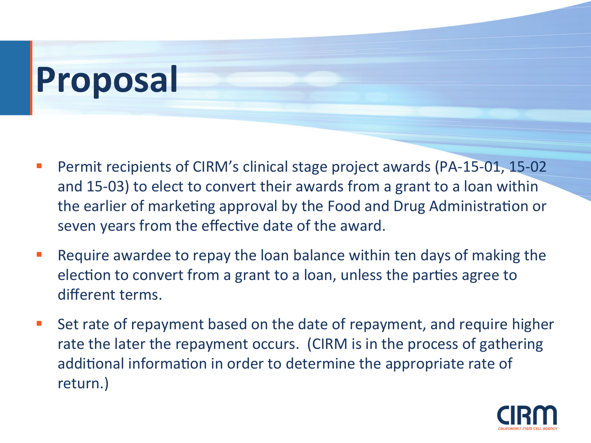## **Proposal**

- Permit recipients of CIRM's clinical stage project awards (PA-15-01, 15-02) and 15-03) to elect to convert their awards from a grant to a loan within the earlier of marketing approval by the Food and Drug Administration or seven years from the effective date of the award.
- Require awardee to repay the loan balance within ten days of making the election to convert from a grant to a loan, unless the parties agree to different terms.
- Set rate of repayment based on the date of repayment, and require higher rate the later the repayment occurs. (CIRM is in the process of gathering additional information in order to determine the appropriate rate of return.)

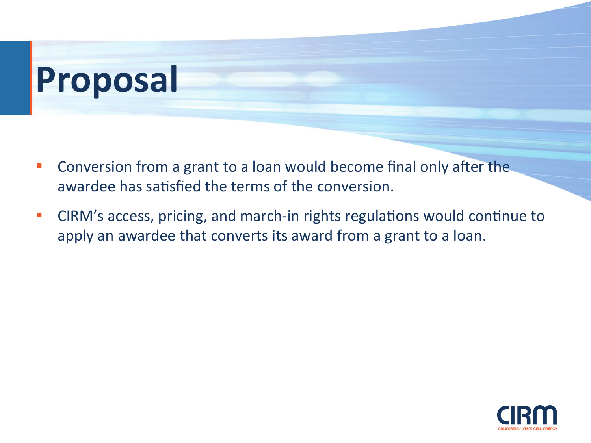# **Proposal**

- Conversion from a grant to a loan would become final only after the awardee has satisfied the terms of the conversion.
- CIRM's access, pricing, and march-in rights regulations would continue to apply an awardee that converts its award from a grant to a loan.

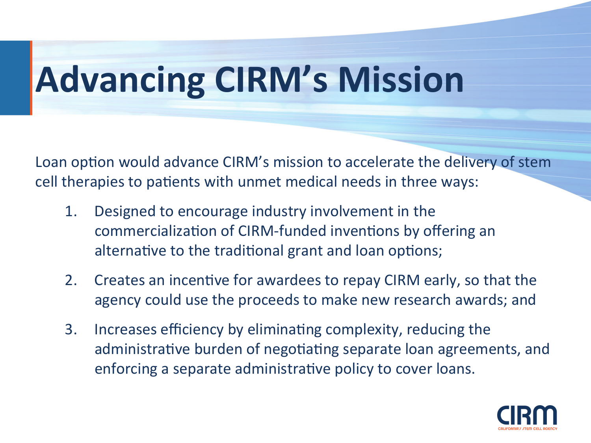# **Advancing CIRM's Mission**

Loan option would advance CIRM's mission to accelerate the delivery of stem cell therapies to patients with unmet medical needs in three ways:

- 1. Designed to encourage industry involvement in the commercialization of CIRM-funded inventions by offering an alternative to the traditional grant and loan options;
- 2. Creates an incentive for awardees to repay CIRM early, so that the agency could use the proceeds to make new research awards; and
- 3. Increases efficiency by eliminating complexity, reducing the administrative burden of negotiating separate loan agreements, and enforcing a separate administrative policy to cover loans.